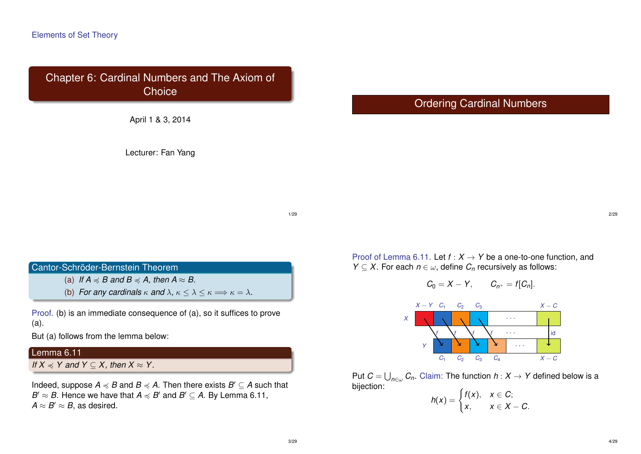Chapter 6: Cardinal Numbers and The Axiom of **Choice** 

April 1 & 3, 2014

Lecturer: Fan Yang

# Ordering Cardinal Numbers

1/29

#### Cantor-Schröder-Bernstein Theorem

(a) *If*  $A \preccurlyeq B$  *and*  $B \preccurlyeq A$ , *then*  $A \approx B$ .

(b) *For any cardinals*  $\kappa$  *and*  $\lambda$ ,  $\kappa \le \lambda \le \kappa \Longrightarrow \kappa = \lambda$ *.* 

Proof. (b) is an immediate consequence of (a), so it suffices to prove (a).

But (a) follows from the lemma below:

### Lemma 6.11

*If*  $X \preceq Y$  and  $Y \subseteq X$ , then  $X \approx Y$ .

Indeed, suppose  $A \preccurlyeq B$  and  $B \preccurlyeq A$ . Then there exists  $B' \subseteq A$  such that  $B' \approx B$ . Hence we have that  $A \preccurlyeq B'$  and  $B' \subseteq A$ . By Lemma 6.11,  $A \approx B' \approx B$ , as desired.

Proof of Lemma 6.11. Let  $f : X \to Y$  be a one-to-one function, and *Y*  $\subseteq$  *X*. For each *n*  $\in$   $\omega$ , define *C<sub>n</sub>* recursively as follows:

$$
C_0=X-Y, \qquad C_{n^+}=f[C_n].
$$



Put  $C = \bigcup_{n \in \omega} C_n$ . Claim: The function  $h: X \rightarrow Y$  defined below is a bijection:

$$
h(x) = \begin{cases} f(x), & x \in C; \\ x, & x \in X - C. \end{cases}
$$

2/29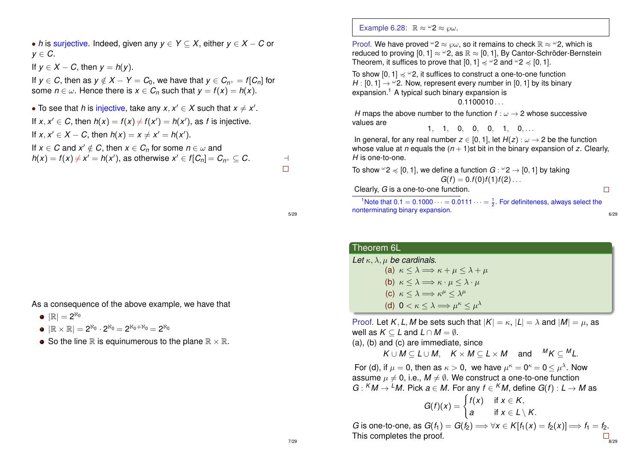• *h* is surjective. Indeed, given any *y* ∈ *Y* ⊆ *X*, either *y* ∈ *X* − *C* or  $v \in C$ . If  $v \in X - C$ , then  $v = h(v)$ . If  $y \in C$ , then as  $y \notin X - Y = C_0$ , we have that  $y \in C_{n^+} = f[C_n]$  for some  $n \in \omega$ . Hence there is  $x \in C_n$  such that  $y = f(x) = h(x)$ . • To see that *h* is injective, take any  $x, x' \in X$  such that  $x \neq x'$ . If  $x, x' \in C$ , then  $h(x) = f(x) \neq f(x') = h(x')$ , as *f* is injective. If  $x, x' \in X - C$ , then  $h(x) = x \neq x' = h(x')$ .

If  $x \in C$  and  $x' \notin C$ , then  $x \in C_n$  for some  $n \in \omega$  and  $h(x) = f(x) \neq x' = h(x')$ , as otherwise  $x' \in f[C_n] = C_{n^+} \subseteq C$ .

As a consequence of the above example, we have that

- $|\mathbb{R}| = 2^{\aleph_0}$
- $|\mathbb{R}\times\mathbb{R}|=2^{\aleph_0}\cdot 2^{\aleph_0}=2^{\aleph_0+\aleph_0}=2^{\aleph_0}$
- So the line R is equinumerous to the plane  $\mathbb{R} \times \mathbb{R}$ .

Example 6.28:  $\mathbb{R} \approx \omega^2 \approx \omega$ .

Proof. We have proved  $\omega_2 \approx \omega$ , so it remains to check  $\mathbb{R} \approx \omega_2$ , which is reduced to proving  $[0, 1] \approx 2$ , as  $\mathbb{R} \approx [0, 1]$ , By Cantor-Schröder-Bernstein Theorem, it suffices to prove that  $[0, 1] \preccurlyeq 2$  and  $\omega$  2  $\preccurlyeq$   $[0, 1]$ .

To show  $[0, 1] \preccurlyeq 2$ , it suffices to construct a one-to-one function *H* : [0, 1]  $\rightarrow$   $\omega$ 2. Now, represent every number in [0, 1] by its binary expansion.<sup>1</sup> A typical such binary expansion is  $0.1100010...$ 

*H* maps the above number to the function  $f : \omega \to 2$  whose successive values are

 $1, 1, 0, 0, 0, 1, 0, \ldots$ 

In general, for any real number  $z \in [0, 1]$ , let  $H(z) : \omega \to 2$  be the function whose value at *n* equals the  $(n + 1)$ st bit in the binary expansion of *z*. Clearly, *H* is one-to-one.

To show  $\omega$  2  $\preccurlyeq$  [0, 1], we define a function  $G$  :  $\omega$  2  $\rightarrow$  [0, 1] by taking  $G(f) = 0.f(0)f(1)f(2)...$ 

Clearly, *G* is a one-to-one function.

<sup>1</sup>Note that  $0.1 = 0.1000 \cdots = 0.0111 \cdots = \frac{1}{2}$ . For definiteness, always select the

 $\Box$ 

6/29

nonterminating binary expansion.

Theorem 6L

Let  $\kappa$ ,  $\lambda$ ,  $\mu$  be cardinals.

(a)  $\kappa < \lambda \Longrightarrow \kappa + \mu < \lambda + \mu$ (b)  $\kappa < \lambda \Longrightarrow \kappa \cdot \mu < \lambda \cdot \mu$ (c)  $\kappa \leq \lambda \Longrightarrow \kappa^{\mu} \leq \lambda^{\mu}$ (d)  $0 < \kappa \leq \lambda \Longrightarrow \mu^{\kappa} \leq \mu^{\lambda}$ 

Proof. Let *K*, *L*, *M* be sets such that  $|K| = \kappa$ ,  $|L| = \lambda$  and  $|M| = \mu$ , as well as  $K \subset L$  and  $L \cap M = \emptyset$ .

(a), (b) and (c) are immediate, since

 $K \cup M \subseteq L \cup M$ ,  $K \times M \subseteq L \times M$  and  ${}^M K \subseteq {}^M L$ .

For (d), if  $\mu = 0$ , then as  $\kappa > 0$ , we have  $\mu^{\kappa} = 0^{\kappa} = 0 \leq \mu^{\lambda}$ . Now assume  $\mu \neq 0$ , i.e.,  $M \neq \emptyset$ . We construct a one-to-one function  $G: {}^K M \to {}^L M$ . Pick  $a \in M$ . For any  $f \in {}^K M$ , define  $G(f): L \to M$  as

$$
G(f)(x) = \begin{cases} f(x) & \text{if } x \in K, \\ a & \text{if } x \in L \setminus K. \end{cases}
$$

*G* is one-to-one, as  $G(f_1) = G(f_2) \Longrightarrow \forall x \in K[f_1(x) = f_2(x)] \Longrightarrow f_1 = f_2$ . This completes the proof.  $\frac{1}{2}$ 

5/29

 $\Box$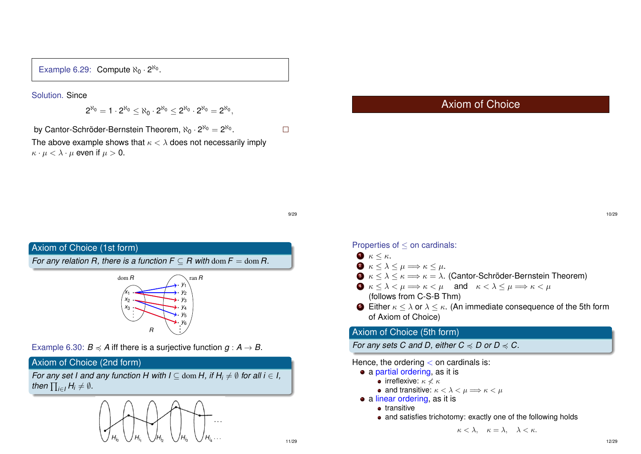Example 6.29: Compute  $\aleph_0 \cdot 2^{\aleph_0}$ .

Solution. Since

$$
2^{\aleph_0}=1\cdot 2^{\aleph_0}\leq \aleph_0\cdot 2^{\aleph_0}\leq 2^{\aleph_0}\cdot 2^{\aleph_0}=2^{\aleph_0},
$$

by Cantor-Schröder-Bernstein Theorem,  $\aleph_0\cdot 2^{\aleph_0} = 2^{\aleph_0}.$ 

The above example shows that  $\kappa < \lambda$  does not necessarily imply  $\kappa \cdot \mu < \lambda \cdot \mu$  even if  $\mu > 0$ .

# Axiom of Choice

9/29

 $\Box$ 

#### Axiom of Choice (1st form)

*For any relation R, there is a function*  $F \subset R$  *with dom*  $F = \text{dom } R$ *.* 



Example 6.30:  $B \preccurlyeq A$  iff there is a surjective function  $g : A \to B$ .

## Axiom of Choice (2nd form)

*For any set I and any function H with I*  $\subset$  dom *H*, *if H<sub>i</sub>*  $\neq$  *Ø for all i*  $\in$  *I*, then  $\prod_{i\in I} H_i \neq \emptyset$ .



Properties of ≤ on cardinals:

- $\bullet$   $\kappa \leq \kappa$ .
- $\bullet \ \kappa \leq \lambda \leq \mu \Longrightarrow \kappa \leq \mu.$
- $\bullet$   $\kappa < \lambda < \kappa \Longrightarrow \kappa = \lambda$ . (Cantor-Schröder-Bernstein Theorem)
- $\bullet \quad \kappa \leq \lambda \leq \mu \Longrightarrow \kappa \leq \mu \quad \text{and} \quad \kappa \leq \lambda \leq \mu \Longrightarrow \kappa \leq \mu$ (follows from C-S-B Thm)
- **6** Either  $\kappa < \lambda$  or  $\lambda < \kappa$ . (An immediate consequence of the 5th form of Axiom of Choice)

## Axiom of Choice (5th form)

*For any sets C and D, either*  $C \preccurlyeq D$  *or*  $D \preccurlyeq C$ *.* 

Hence, the ordering  $<$  on cardinals is:

- a partial ordering, as it is
	- **•** irreflexive:  $\kappa \not\leq \kappa$
	- and transitive:  $\kappa < \lambda < \mu \Longrightarrow \kappa < \mu$
- a linear ordering, as it is
	- **•** transitive
	- and satisfies trichotomy: exactly one of the following holds

 $\kappa < \lambda$ ,  $\kappa = \lambda$ ,  $\lambda < \kappa$ .

10/29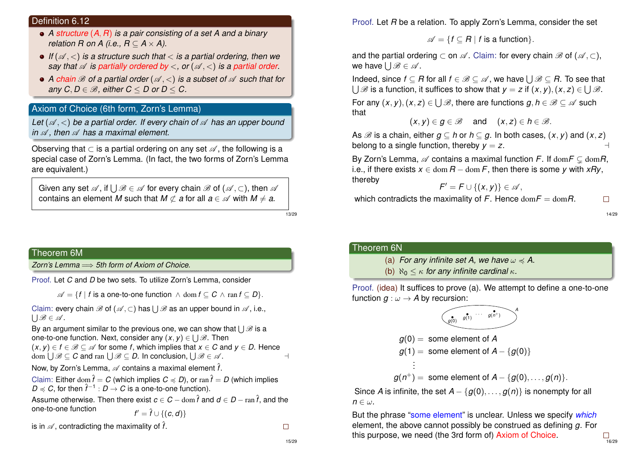#### Definition 6.12

- *A structure* (*A*, *R*) *is a pair consisting of a set A and a binary relation R on A (i.e.,*  $R \subseteq A \times A$ *).*
- If  $(A, \leq)$  *is a structure such that*  $\leq$  *is a partial ordering, then we say that*  $\mathscr A$  *is partially ordered by* <, or  $(\mathscr A, \lt)$  *is a partial order.*
- A *chain*  $\mathscr B$  *of a partial order* ( $\mathscr A$ ,  $\lt$ ) *is a subset of*  $\mathscr A$  *such that for any*  $C, D \in \mathcal{B}$ , either  $C \leq D$  or  $D \leq C$ .

#### Axiom of Choice (6th form, Zorn's Lemma)

*Let* ( $\mathcal{A},$  <) *be a partial order. If every chain of*  $\mathcal{A}$  *has an upper bound in*  $\mathscr A$ , then  $\mathscr A$  has a maximal element.

Observing that  $\subset$  is a partial ordering on any set  $\mathscr A$ , the following is a special case of Zorn's Lemma. (In fact, the two forms of Zorn's Lemma are equivalent.)

Given any set  $\mathscr{A}$ , if  $\bigcup \mathscr{B} \in \mathscr{A}$  for every chain  $\mathscr{B}$  of  $(\mathscr{A},\subset)$ , then  $\mathscr{A}$ contains an element *M* such that  $M \not\subset a$  for all  $a \in \mathcal{A}$  with  $M \neq a$ .

13/29

#### Theorem 6M

*Zorn's Lemma* =⇒ *5th form of Axiom of Choice.*

Proof. Let *C* and *D* be two sets. To utilize Zorn's Lemma, consider

 $\mathscr{A} = \{f \mid f \text{ is a one-to-one function } \wedge \text{ dom } f \subseteq C \wedge \text{ ran } f \subseteq D\}.$ 

Claim: every chain  $\mathscr B$  of  $(\mathscr A,\subset)$  has  $\bigcup\mathscr B$  as an upper bound in  $\mathscr A,$  i.e.,  $\bigcup \mathscr{B} \in \mathscr{A}.$ 

By an argument similar to the previous one, we can show that  $\bigcup \mathscr{B}$  is a one-to-one function. Next, consider any  $(x,y)\in \bigcup \mathscr{B}.$  Then  $(x, y) \in f \in \mathcal{B} \subseteq \mathcal{A}$  for some *f*, which implies that  $x \in C$  and  $y \in D$ . Hence dom  $\bigcup \mathscr{B} \subseteq \mathcal{C}$  and ran  $\bigcup \mathscr{B} \subseteq \mathcal{D}$ . In conclusion,  $\bigcup \mathscr{B} \in \mathscr{A}$ . ⊣

Now, by Zorn's Lemma,  $\mathscr A$  contains a maximal element  $\hat f$ .

Claim: Either dom  $\hat{f} = C$  (which implies  $C \preccurlyeq D$ ), or ran  $\hat{f} = D$  (which implies  $D \preccurlyeq C$ , for then  $\hat{f}^{-1}: D \to C$  is a one-to-one function).

Assume otherwise. Then there exist  $c \in C - \text{dom } \hat{t}$  and  $d \in D - \text{ran } \hat{t}$ , and the one-to-one function *<sup>f</sup>*  $f' = \hat{f} \cup \{ (c, d) \}$ 

is in  $\mathscr A$ , contradicting the maximality of  $\hat f$ .

 $\Box$ 

Proof. Let *R* be a relation. To apply Zorn's Lemma, consider the set

 $\mathscr{A} = \{f \subset R \mid f \text{ is a function}\}.$ 

and the partial ordering  $\subset$  on  $\mathscr A$ . Claim: for every chain  $\mathscr B$  of  $(\mathscr A, \subset)$ , we have  $\bigcup \mathscr{B} \in \mathscr{A}.$ 

Indeed, since  $f\subseteq R$  for all  $f\in \mathscr{B}\subseteq \mathscr{A}$ , we have  $\bigcup \mathscr{B}\subseteq R.$  To see that  $\bigcup$   $\mathscr B$  is a function, it suffices to show that  $\mathsf y=\mathsf z$  if  $(\mathsf x,\mathsf y),(\mathsf x,\mathsf z)\in\bigcup\mathscr B.$ 

For any  $(x, y), (x, z) \in \bigcup \mathscr{B}$ , there are functions  $g, h \in \mathscr{B} \subseteq \mathscr{A}$  such that

$$
(x,y)\in g\in\mathscr{B}\quad\text{and}\quad (x,z)\in h\in\mathscr{B}.
$$

As  $\mathscr{B}$  is a chain, either  $g \subseteq h$  or  $h \subseteq g$ . In both cases,  $(x, y)$  and  $(x, z)$ belong to a single function, thereby  $y = z$ .

By Zorn's Lemma,  $\mathscr A$  contains a maximal function *F*. If  $\text{dom} F \subsetneq \text{dom} R$ , i.e., if there exists  $x \in \text{dom } R - \text{dom } F$ , then there is some *v* with *xRv*, thereby

$$
\mathsf{F}'=\mathsf{F}\cup\{(\mathsf{x},\mathsf{y})\}\in\mathscr{A},
$$

which contradicts the maximality of  $F$ . Hence  $\text{dom} F = \text{dom} R$ .

 $\Box$ 14/29

 $76/29$ 

#### Theorem 6N

(a) *For any infinite set A, we have*  $\omega \preccurlyeq A$ .

(b)  $\aleph_0 \leq \kappa$  for any infinite cardinal  $\kappa$ .

Proof. (idea) It suffices to prove (a). We attempt to define a one-to-one function  $g : \omega \to A$  by recursion:

$$
\underbrace{\bullet}_{g(0)} \underbrace{g(1)} \cdots \underbrace{g(n+1)}_{g(n+1)} \stackrel{A}{\longrightarrow}
$$

$$
g(0) = \text{ some element of } A
$$
  
 
$$
g(1) = \text{ some element of } A - \{g(0)\}
$$
  
:

 $g(n^+) =$  some element of  $A - \{g(0), \ldots, g(n)\}.$ 

Since *A* is infinite, the set  $A - \{g(0), \ldots, g(n)\}$  is nonempty for all  $n \in \omega$ .

But the phrase "some element" is unclear. Unless we specify *which* element, the above cannot possibly be construed as defining *g*. For this purpose, we need (the 3rd form of) Axiom of Choice.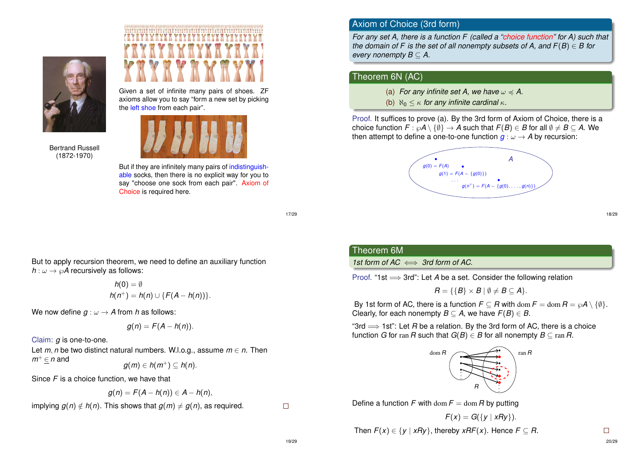

Bertrand Russell (1872-1970)



Given a set of infinite many pairs of shoes. ZF axioms allow you to say "form a new set by picking the left shoe from each pair".



But if they are infinitely many pairs of indistinguishable socks, then there is no explicit way for you to say "choose one sock from each pair". Axiom of Choice is required here.

17/29

But to apply recursion theorem, we need to define an auxiliary function  $h: \omega \to \wp A$  recursively as follows:

$$
h(0) = \emptyset
$$
  
 
$$
h(n^+) = h(n) \cup \{F(A - h(n))\}.
$$

We now define  $q : \omega \to A$  from h as follows:

$$
g(n) = F(A - h(n)).
$$

Claim: *g* is one-to-one.

Let  $m$ ,  $n$  be two distinct natural numbers. W.l.o.g., assume  $m \in n$ . Then *m*<sup>+</sup> ∈ *n* and

$$
g(m)\in h(m^+)\subseteq h(n).
$$

Since *F* is a choice function, we have that

$$
g(n) = F(A - h(n)) \in A - h(n),
$$

implying  $g(n) \notin h(n)$ . This shows that  $g(m) \neq g(n)$ , as required.

 $\Box$ 

## Axiom of Choice (3rd form)

*For any set A, there is a function F (called a "choice function" for A) such that the domain of F is the set of all nonempty subsets of A, and*  $F(B) \in B$  *for every nonempty*  $B \subset A$ *.* 

#### Theorem 6N (AC)

(a) *For any infinite set A, we have*  $\omega \preccurlyeq A$ .

(b)  $\aleph_0 \leq \kappa$  for any infinite cardinal  $\kappa$ .

Proof. It suffices to prove (a). By the 3rd form of Axiom of Choice, there is a choice function  $F : \wp A \setminus \{\emptyset\} \to A$  such that  $F(B) \in B$  for all  $\emptyset \neq B \subset A$ . We then attempt to define a one-to-one function  $g : \omega \to A$  by recursion:



18/29

# Theorem 6M

1st form of  $AC \iff 3$ rd form of AC.

Proof. "1st =⇒ 3rd": Let *A* be a set. Consider the following relation

$$
B = \{ \{B\} \times B \mid \emptyset \neq B \subseteq A \}.
$$

By 1st form of AC, there is a function  $F \subseteq R$  with dom  $F = \text{dom } R = \wp A \setminus \{\emptyset\}.$ Clearly, for each nonempty  $B \subset A$ , we have  $F(B) \in B$ .

"3rd  $\Rightarrow$  1st": Let *R* be a relation. By the 3rd form of AC, there is a choice function *G* for ran *R* such that  $G(B) \in B$  for all nonempty  $B \subseteq \text{ran } R$ .



Define a function *F* with dom  $F = \text{dom } R$  by putting

$$
F(x) = G({y | xRy}).
$$
  
Then  $F(x) \in {y | xRy}$ , thereby  $xRF(x)$ . Hence  $F \subseteq R$ .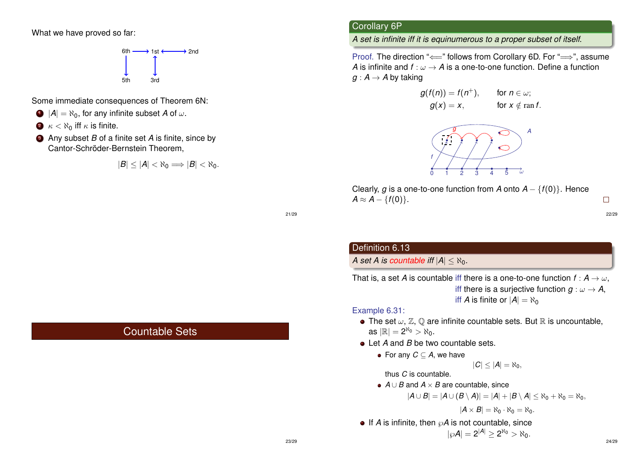What we have proved so far:



Some immediate consequences of Theorem 6N:

- $\bigcirc$   $|A| = \aleph_0$ , for any infinite subset *A* of  $\omega$ .
- $\bullet$   $\kappa$  <  $\aleph_0$  iff  $\kappa$  is finite.
- <sup>3</sup> Any subset *B* of a finite set *A* is finite, since by Cantor-Schröder-Bernstein Theorem,

$$
|B|\leq |A|<\aleph_0\Longrightarrow |B|<\aleph_0.
$$

Countable Sets

## Corollary 6P

*A set is infinite iff it is equinumerous to a proper subset of itself.*

Proof. The direction "  $\Longleftarrow$ " follows from Corollary 6D. For "  $\Longrightarrow$ ", assume *A* is infinite and  $f : \omega \to A$  is a one-to-one function. Define a function  $g : A \rightarrow A$  by taking

$$
g(f(n)) = f(n^+), \quad \text{for } n \in \omega; g(x) = x, \quad \text{for } x \notin \text{ran } f.
$$



Clearly, *g* is a one-to-one function from *A* onto  $A - {f(0)}$ . Hence  $A \approx A - \{f(0)\}.$ 

21/29

## Definition 6.13

#### *A set A is countable iff*  $|A| \leq \aleph_0$ .

That is, a set *A* is countable iff there is a one-to-one function  $f : A \rightarrow \omega$ . iff there is a surjective function  $q : \omega \to A$ , iff *A* is finite or  $|A| = \aleph_0$ 

#### Example 6.31:

- The set  $\omega$ ,  $\mathbb{Z}$ ,  $\mathbb{Q}$  are infinite countable sets. But  $\mathbb{R}$  is uncountable, as  $|\mathbb{R}| = 2^{\aleph_0} > \aleph_0$ .
- Let *A* and *B* be two countable sets.
	- For any *C* ⊆ *A*, we have

$$
|C|\leq |A|=\aleph_0,
$$

thus *C* is countable.

*A* ∪ *B* and *A* × *B* are countable, since

$$
|A\cup B|=|A\cup (B\setminus A)|=|A|+|B\setminus A|\leq\aleph_0+\aleph_0=\aleph_0,
$$

$$
|A\times B|=\aleph_0\cdot\aleph_0=\aleph_0.
$$

 $\bullet$  If *A* is infinite, then  $\mathcal{O}A$  is not countable, since

$$
|\wp A|=2^{|A|}\geq 2^{\aleph_0}>\aleph_0.
$$

22/29

 $\Box$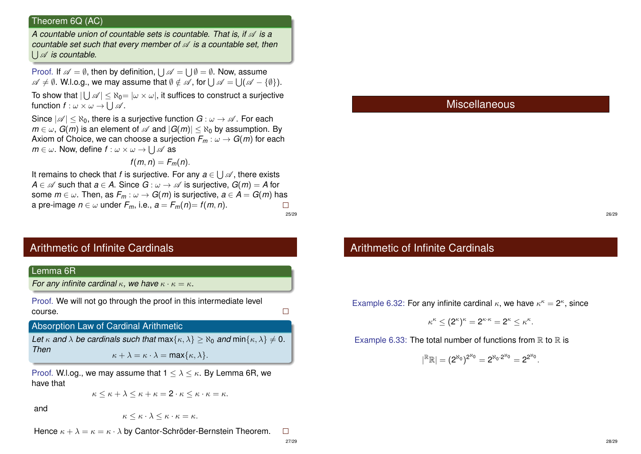#### Theorem 6Q (AC)

*A countable union of countable sets is countable. That is, if*  $\mathcal A$  *is a countable set such that every member of*  $\mathscr A$  *is a countable set, then* S A *is countable.*

Proof. If  $\mathscr{A}=\emptyset$ , then by definition,  $\bigcup\mathscr{A}=\bigcup\emptyset=\emptyset$ . Now, assume  $\mathscr{A} \neq \emptyset.$  W.l.o.g., we may assume that  $\emptyset \notin \mathscr{A}$  , for  $\bigcup \mathscr{A} = \bigcup (\mathscr{A} - \{\emptyset\}).$ 

To show that  $|\bigcup \mathscr{A}| \leq \aleph_0 = |\omega \times \omega|$ , it suffices to construct a surjective function  $f: \omega \times \omega \rightarrow \bigcup \mathscr{A}$ .

Since  $|\mathscr{A}| \leq \aleph_0$ , there is a surjective function  $G : \omega \to \mathscr{A}$ . For each  $m \in \omega$ , *G(m)* is an element of  $\mathscr A$  and  $|G(m)| < \aleph_0$  by assumption. By Axiom of Choice, we can choose a surjection  $F_m$ :  $\omega \to G(m)$  for each  $m\in\omega.$  Now, define  $f:\omega\times\omega\rightarrow\bigcup\mathscr{A}$  as

$$
f(m,n)=F_m(n).
$$

It remains to check that *f* is surjective. For any  $a \in \bigcup \mathscr{A}$  , there exists *A* ∈  $\mathscr A$  such that  $a \in A$ . Since  $G : \omega \to \mathscr A$  is surjective,  $G(m) = A$  for some  $m \in \omega$ . Then, as  $F_m : \omega \to G(m)$  is surjective,  $a \in A = G(m)$  has a pre-image  $n \in \omega$  under  $F_m$ , i.e.,  $a = F_m(n) = f(m, n)$ .  $\Box$ 25/29

# Arithmetic of Infinite Cardinals



Proof. W.l.og., we may assume that  $1 \leq \lambda \leq \kappa$ . By Lemma 6R, we have that

$$
\kappa \leq \kappa + \lambda \leq \kappa + \kappa = 2 \cdot \kappa \leq \kappa \cdot \kappa = \kappa.
$$

and

 $\kappa \leq \kappa \cdot \lambda \leq \kappa \cdot \kappa = \kappa.$ 

Hence  $\kappa + \lambda = \kappa = \kappa \cdot \lambda$  by Cantor-Schröder-Bernstein Theorem.  $\Box$ 

## Miscellaneous

26/29

# Arithmetic of Infinite Cardinals

Example 6.32: For any infinite cardinal  $\kappa$ , we have  $\kappa^{\kappa} = 2^{\kappa}$ , since

$$
\kappa^{\kappa} \leq (2^{\kappa})^{\kappa} = 2^{\kappa \cdot \kappa} = 2^{\kappa} \leq \kappa^{\kappa}.
$$

Example 6.33: The total number of functions from  $\mathbb R$  to  $\mathbb R$  is

$$
|{}^{\mathbb{R}}\mathbb{R}|=(2^{\aleph_0})^{2^{\aleph_0}}=2^{\aleph_0\cdot 2^{\aleph_0}}=2^{2^{\aleph_0}}.
$$